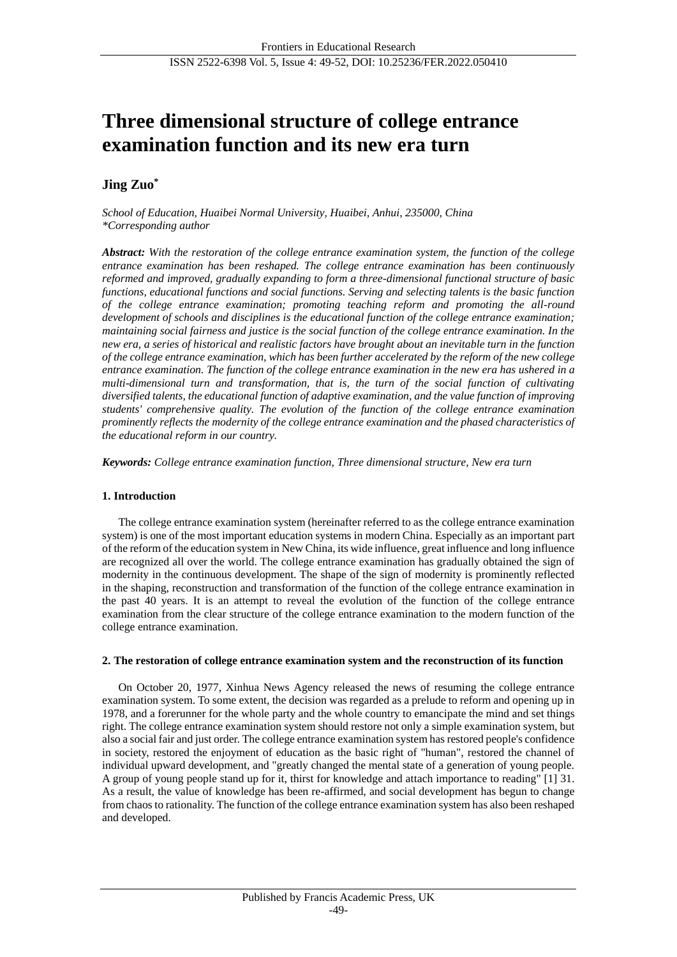# **Three dimensional structure of college entrance examination function and its new era turn**

# **Jing Zuo\***

*School of Education, Huaibei Normal University, Huaibei, Anhui, 235000, China \*Corresponding author*

*Abstract: With the restoration of the college entrance examination system, the function of the college entrance examination has been reshaped. The college entrance examination has been continuously reformed and improved, gradually expanding to form a three-dimensional functional structure of basic functions, educational functions and social functions. Serving and selecting talents is the basic function of the college entrance examination; promoting teaching reform and promoting the all-round development of schools and disciplines is the educational function of the college entrance examination; maintaining social fairness and justice is the social function of the college entrance examination. In the new era, a series of historical and realistic factors have brought about an inevitable turn in the function of the college entrance examination, which has been further accelerated by the reform of the new college entrance examination. The function of the college entrance examination in the new era has ushered in a multi-dimensional turn and transformation, that is, the turn of the social function of cultivating diversified talents, the educational function of adaptive examination, and the value function of improving students' comprehensive quality. The evolution of the function of the college entrance examination prominently reflects the modernity of the college entrance examination and the phased characteristics of the educational reform in our country.*

*Keywords: College entrance examination function, Three dimensional structure, New era turn*

### **1. Introduction**

The college entrance examination system (hereinafter referred to as the college entrance examination system) is one of the most important education systems in modern China. Especially as an important part of the reform of the education system in New China, its wide influence, great influence and long influence are recognized all over the world. The college entrance examination has gradually obtained the sign of modernity in the continuous development. The shape of the sign of modernity is prominently reflected in the shaping, reconstruction and transformation of the function of the college entrance examination in the past 40 years. It is an attempt to reveal the evolution of the function of the college entrance examination from the clear structure of the college entrance examination to the modern function of the college entrance examination.

### **2. The restoration of college entrance examination system and the reconstruction of its function**

On October 20, 1977, Xinhua News Agency released the news of resuming the college entrance examination system. To some extent, the decision was regarded as a prelude to reform and opening up in 1978, and a forerunner for the whole party and the whole country to emancipate the mind and set things right. The college entrance examination system should restore not only a simple examination system, but also a social fair and just order. The college entrance examination system has restored people's confidence in society, restored the enjoyment of education as the basic right of "human", restored the channel of individual upward development, and "greatly changed the mental state of a generation of young people. A group of young people stand up for it, thirst for knowledge and attach importance to reading" [1] 31. As a result, the value of knowledge has been re-affirmed, and social development has begun to change from chaos to rationality. The function of the college entrance examination system has also been reshaped and developed.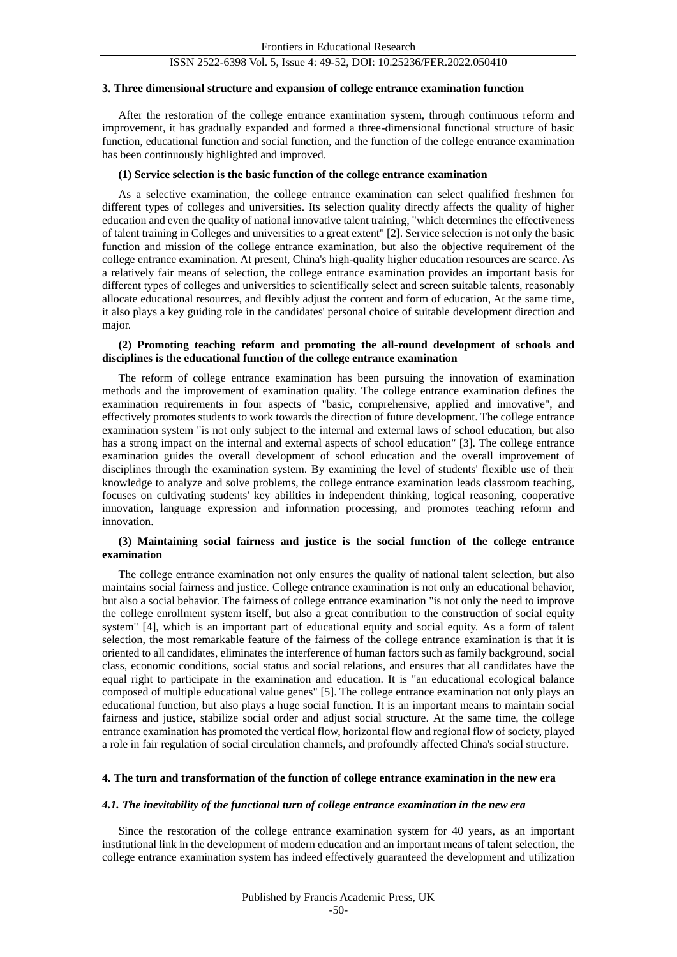## ISSN 2522-6398 Vol. 5, Issue 4: 49-52, DOI: 10.25236/FER.2022.050410

#### **3. Three dimensional structure and expansion of college entrance examination function**

After the restoration of the college entrance examination system, through continuous reform and improvement, it has gradually expanded and formed a three-dimensional functional structure of basic function, educational function and social function, and the function of the college entrance examination has been continuously highlighted and improved.

#### **(1) Service selection is the basic function of the college entrance examination**

As a selective examination, the college entrance examination can select qualified freshmen for different types of colleges and universities. Its selection quality directly affects the quality of higher education and even the quality of national innovative talent training, "which determines the effectiveness of talent training in Colleges and universities to a great extent" [2]. Service selection is not only the basic function and mission of the college entrance examination, but also the objective requirement of the college entrance examination. At present, China's high-quality higher education resources are scarce. As a relatively fair means of selection, the college entrance examination provides an important basis for different types of colleges and universities to scientifically select and screen suitable talents, reasonably allocate educational resources, and flexibly adjust the content and form of education, At the same time, it also plays a key guiding role in the candidates' personal choice of suitable development direction and major.

#### **(2) Promoting teaching reform and promoting the all-round development of schools and disciplines is the educational function of the college entrance examination**

The reform of college entrance examination has been pursuing the innovation of examination methods and the improvement of examination quality. The college entrance examination defines the examination requirements in four aspects of "basic, comprehensive, applied and innovative", and effectively promotes students to work towards the direction of future development. The college entrance examination system "is not only subject to the internal and external laws of school education, but also has a strong impact on the internal and external aspects of school education" [3]. The college entrance examination guides the overall development of school education and the overall improvement of disciplines through the examination system. By examining the level of students' flexible use of their knowledge to analyze and solve problems, the college entrance examination leads classroom teaching, focuses on cultivating students' key abilities in independent thinking, logical reasoning, cooperative innovation, language expression and information processing, and promotes teaching reform and innovation.

### **(3) Maintaining social fairness and justice is the social function of the college entrance examination**

The college entrance examination not only ensures the quality of national talent selection, but also maintains social fairness and justice. College entrance examination is not only an educational behavior, but also a social behavior. The fairness of college entrance examination "is not only the need to improve the college enrollment system itself, but also a great contribution to the construction of social equity system" [4], which is an important part of educational equity and social equity. As a form of talent selection, the most remarkable feature of the fairness of the college entrance examination is that it is oriented to all candidates, eliminates the interference of human factors such as family background, social class, economic conditions, social status and social relations, and ensures that all candidates have the equal right to participate in the examination and education. It is "an educational ecological balance composed of multiple educational value genes" [5]. The college entrance examination not only plays an educational function, but also plays a huge social function. It is an important means to maintain social fairness and justice, stabilize social order and adjust social structure. At the same time, the college entrance examination has promoted the vertical flow, horizontal flow and regional flow of society, played a role in fair regulation of social circulation channels, and profoundly affected China's social structure.

### **4. The turn and transformation of the function of college entrance examination in the new era**

### *4.1. The inevitability of the functional turn of college entrance examination in the new era*

Since the restoration of the college entrance examination system for 40 years, as an important institutional link in the development of modern education and an important means of talent selection, the college entrance examination system has indeed effectively guaranteed the development and utilization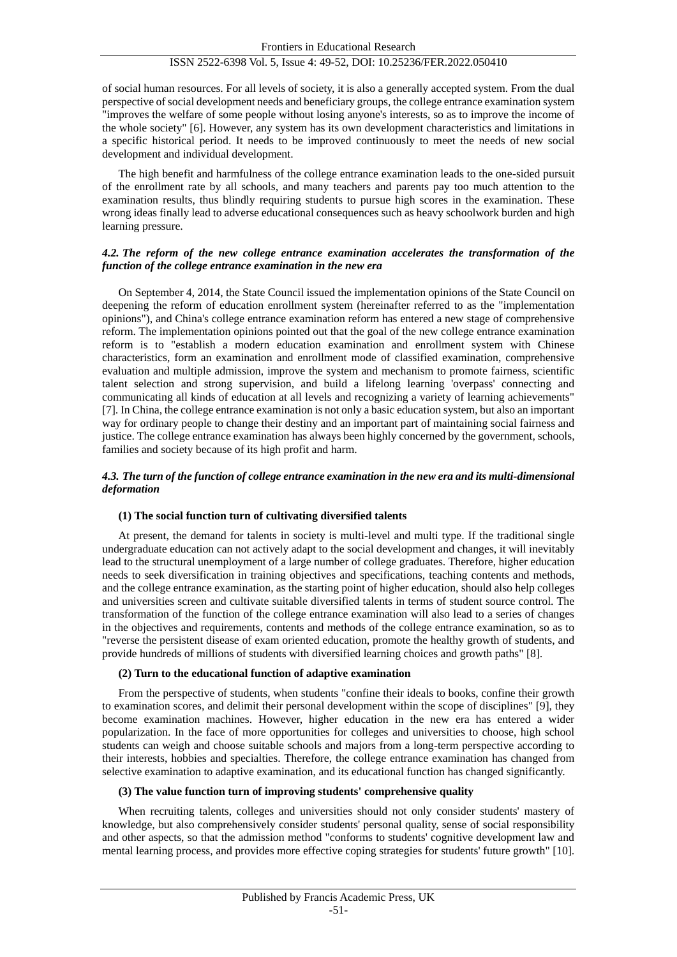# ISSN 2522-6398 Vol. 5, Issue 4: 49-52, DOI: 10.25236/FER.2022.050410

of social human resources. For all levels of society, it is also a generally accepted system. From the dual perspective of social development needs and beneficiary groups, the college entrance examination system "improves the welfare of some people without losing anyone's interests, so as to improve the income of the whole society" [6]. However, any system has its own development characteristics and limitations in a specific historical period. It needs to be improved continuously to meet the needs of new social development and individual development.

The high benefit and harmfulness of the college entrance examination leads to the one-sided pursuit of the enrollment rate by all schools, and many teachers and parents pay too much attention to the examination results, thus blindly requiring students to pursue high scores in the examination. These wrong ideas finally lead to adverse educational consequences such as heavy schoolwork burden and high learning pressure.

### *4.2. The reform of the new college entrance examination accelerates the transformation of the function of the college entrance examination in the new era*

On September 4, 2014, the State Council issued the implementation opinions of the State Council on deepening the reform of education enrollment system (hereinafter referred to as the "implementation opinions"), and China's college entrance examination reform has entered a new stage of comprehensive reform. The implementation opinions pointed out that the goal of the new college entrance examination reform is to "establish a modern education examination and enrollment system with Chinese characteristics, form an examination and enrollment mode of classified examination, comprehensive evaluation and multiple admission, improve the system and mechanism to promote fairness, scientific talent selection and strong supervision, and build a lifelong learning 'overpass' connecting and communicating all kinds of education at all levels and recognizing a variety of learning achievements" [7]. In China, the college entrance examination is not only a basic education system, but also an important way for ordinary people to change their destiny and an important part of maintaining social fairness and justice. The college entrance examination has always been highly concerned by the government, schools, families and society because of its high profit and harm.

### *4.3. The turn of the function of college entrance examination in the new era and its multi-dimensional deformation*

#### **(1) The social function turn of cultivating diversified talents**

At present, the demand for talents in society is multi-level and multi type. If the traditional single undergraduate education can not actively adapt to the social development and changes, it will inevitably lead to the structural unemployment of a large number of college graduates. Therefore, higher education needs to seek diversification in training objectives and specifications, teaching contents and methods, and the college entrance examination, as the starting point of higher education, should also help colleges and universities screen and cultivate suitable diversified talents in terms of student source control. The transformation of the function of the college entrance examination will also lead to a series of changes in the objectives and requirements, contents and methods of the college entrance examination, so as to "reverse the persistent disease of exam oriented education, promote the healthy growth of students, and provide hundreds of millions of students with diversified learning choices and growth paths" [8].

#### **(2) Turn to the educational function of adaptive examination**

From the perspective of students, when students "confine their ideals to books, confine their growth to examination scores, and delimit their personal development within the scope of disciplines" [9], they become examination machines. However, higher education in the new era has entered a wider popularization. In the face of more opportunities for colleges and universities to choose, high school students can weigh and choose suitable schools and majors from a long-term perspective according to their interests, hobbies and specialties. Therefore, the college entrance examination has changed from selective examination to adaptive examination, and its educational function has changed significantly.

#### **(3) The value function turn of improving students' comprehensive quality**

When recruiting talents, colleges and universities should not only consider students' mastery of knowledge, but also comprehensively consider students' personal quality, sense of social responsibility and other aspects, so that the admission method "conforms to students' cognitive development law and mental learning process, and provides more effective coping strategies for students' future growth" [10].